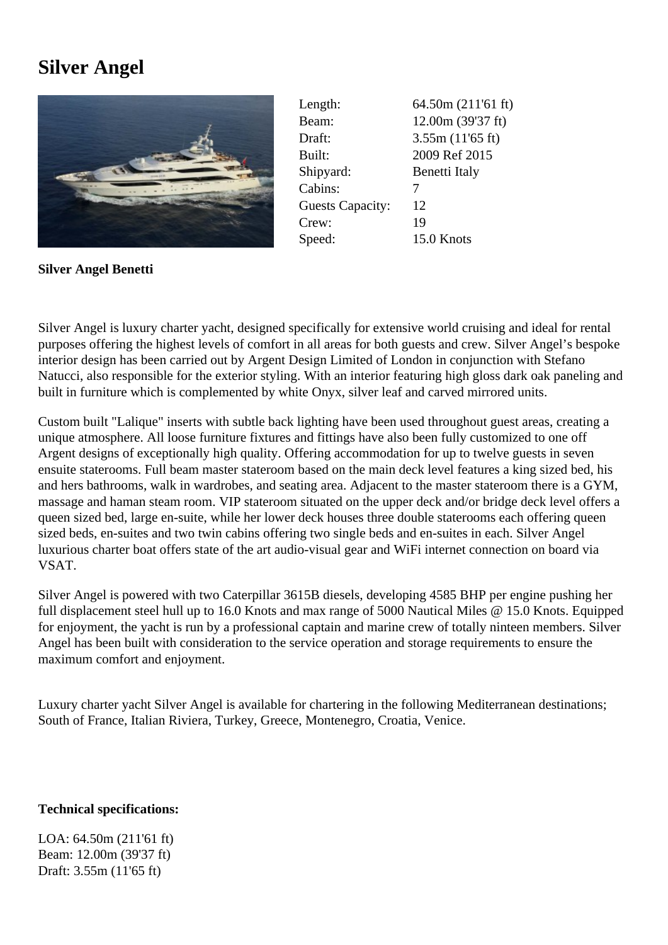## **Silver Angel**



| Length:                 | 64.50m (211'61 ft) |
|-------------------------|--------------------|
| Beam:                   | 12.00m (39'37 ft)  |
| Draft:                  | 3.55m(11'65 ft)    |
| Built:                  | 2009 Ref 2015      |
| Shipyard:               | Benetti Italy      |
| Cabins:                 |                    |
| <b>Guests Capacity:</b> | 12                 |
| Crew:                   | 19                 |
| Speed:                  | 15.0 Knots         |

**Silver Angel Benetti**

Silver Angel is luxury charter yacht, designed specifically for extensive world cruising and ideal for rental purposes offering the highest levels of comfort in all areas for both guests and crew. Silver Angel's bespoke interior design has been carried out by Argent Design Limited of London in conjunction with Stefano Natucci, also responsible for the exterior styling. With an interior featuring high gloss dark oak paneling and built in furniture which is complemented by white Onyx, silver leaf and carved mirrored units.

Custom built "Lalique" inserts with subtle back lighting have been used throughout guest areas, creating a unique atmosphere. All loose furniture fixtures and fittings have also been fully customized to one off Argent designs of exceptionally high quality. Offering accommodation for up to twelve guests in seven ensuite staterooms. Full beam master stateroom based on the main deck level features a king sized bed, his and hers bathrooms, walk in wardrobes, and seating area. Adjacent to the master stateroom there is a GYM, massage and haman steam room. VIP stateroom situated on the upper deck and/or bridge deck level offers a queen sized bed, large en-suite, while her lower deck houses three double staterooms each offering queen sized beds, en-suites and two twin cabins offering two single beds and en-suites in each. Silver Angel luxurious charter boat offers state of the art audio-visual gear and WiFi internet connection on board via VSAT.

Silver Angel is powered with two Caterpillar 3615B diesels, developing 4585 BHP per engine pushing her full displacement steel hull up to 16.0 Knots and max range of 5000 Nautical Miles @ 15.0 Knots. Equipped for enjoyment, the yacht is run by a professional captain and marine crew of totally ninteen members. Silver Angel has been built with consideration to the service operation and storage requirements to ensure the maximum comfort and enjoyment.

Luxury charter yacht Silver Angel is available for chartering in the following Mediterranean destinations; South of France, Italian Riviera, Turkey, Greece, Montenegro, Croatia, Venice.

## **Technical specifications:**

LOA: 64.50m (211'61 ft) Beam: 12.00m (39'37 ft) Draft: 3.55m (11'65 ft)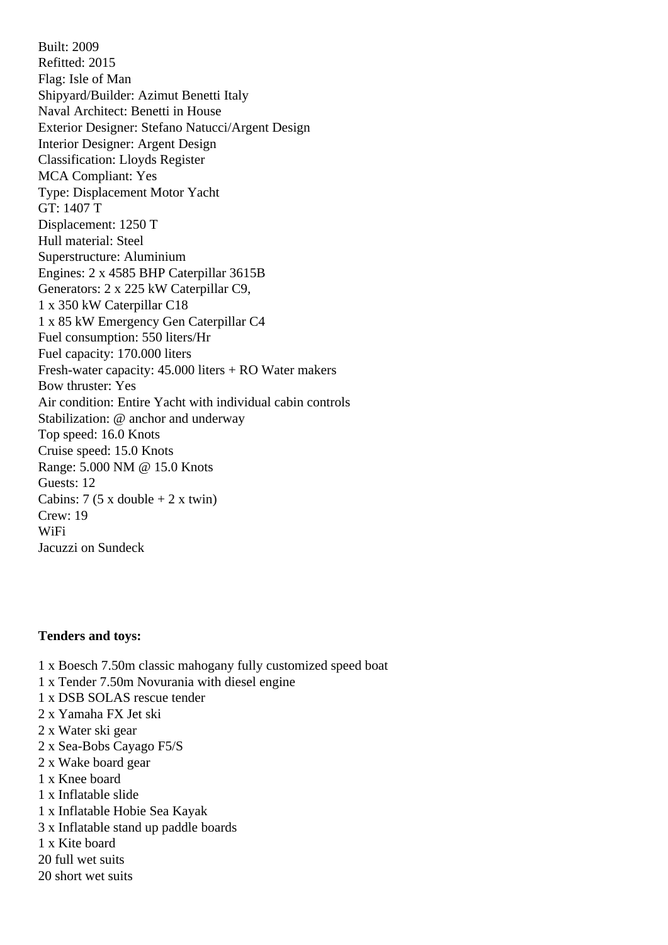Built: 2009 Refitted: 2015 Flag: Isle of Man Shipyard/Builder: Azimut Benetti Italy Naval Architect: Benetti in House Exterior Designer: Stefano Natucci/Argent Design Interior Designer: Argent Design Classification: Lloyds Register MCA Compliant: Yes Type: Displacement Motor Yacht GT: 1407 T Displacement: 1250 T Hull material: Steel Superstructure: Aluminium Engines: 2 x 4585 BHP Caterpillar 3615B Generators: 2 x 225 kW Caterpillar C9, 1 x 350 kW Caterpillar C18 1 x 85 kW Emergency Gen Caterpillar C4 Fuel consumption: 550 liters/Hr Fuel capacity: 170.000 liters Fresh-water capacity: 45.000 liters + RO Water makers Bow thruster: Yes Air condition: Entire Yacht with individual cabin controls Stabilization: @ anchor and underway Top speed: 16.0 Knots Cruise speed: 15.0 Knots Range: 5.000 NM @ 15.0 Knots Guests: 12 Cabins:  $7(5 \times \text{double} + 2 \times \text{twin})$ Crew: 19 WiFi Jacuzzi on Sundeck

## **Tenders and toys:**

- 1 x Boesch 7.50m classic mahogany fully customized speed boat
- 1 x Tender 7.50m Novurania with diesel engine
- 1 x DSB SOLAS rescue tender
- 2 x Yamaha FX Jet ski
- 2 x Water ski gear
- 2 x Sea-Bobs Cayago F5/S
- 2 x Wake board gear
- 1 x Knee board
- 1 x Inflatable slide
- 1 x Inflatable Hobie Sea Kayak
- 3 x Inflatable stand up paddle boards
- 1 x Kite board
- 20 full wet suits
- 20 short wet suits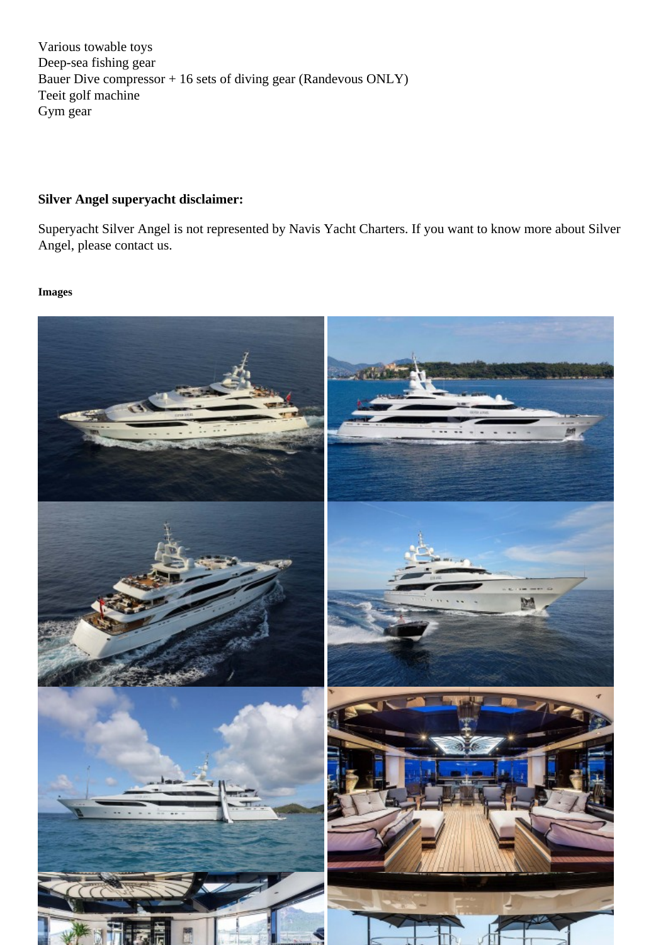Deep-sea fishing gear Bauer Dive compressor + 16 sets of diving gear (Randevous ONLY) Teeit golf machine Gym gear

Silver Angel superyacht disclaimer:

Superyacht Silver Angel is not represented by Navis Yacht Charters. If you want to know more about Silver Angel, please contact us.

Images